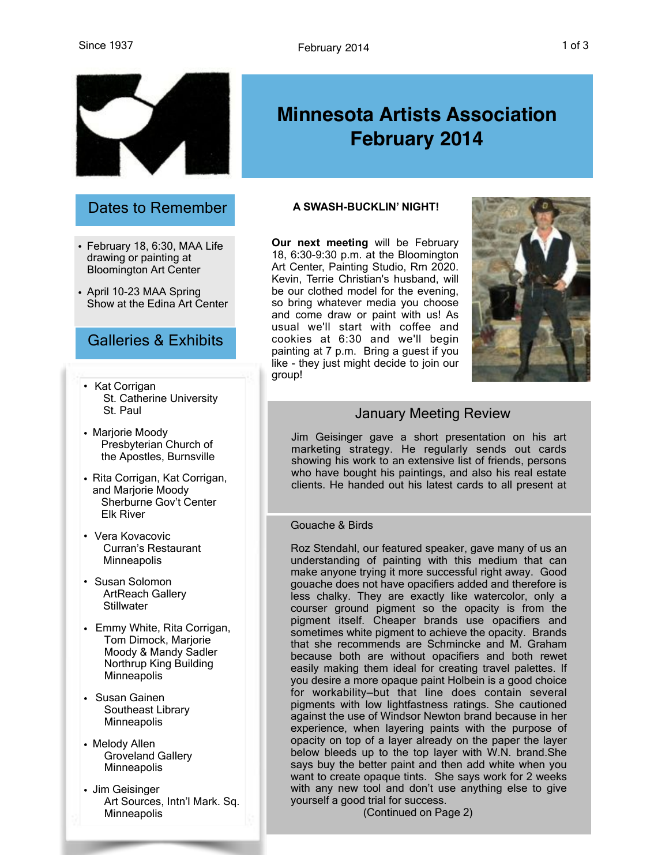

## Dates to Remember

- February 18, 6:30, MAA Life drawing or painting at Bloomington Art Center
- April 10-23 MAA Spring Show at the Edina Art Center

## Galleries & Exhibits

- Kat Corrigan St. Catherine University St. Paul
- Marjorie Moody Presbyterian Church of the Apostles, Burnsville
- Rita Corrigan, Kat Corrigan, and Marjorie Moody Sherburne Gov't Center Elk River
- Vera Kovacovic Curran's Restaurant **Minneapolis**
- Susan Solomon ArtReach Gallery **Stillwater**
- Emmy White, Rita Corrigan, Tom Dimock, Marjorie Moody & Mandy Sadler Northrup King Building **Minneapolis**
- Susan Gainen Southeast Library **Minneapolis**
- Melody Allen Groveland Gallery **Minneapolis**
- Jim Geisinger Art Sources, Intn'l Mark. Sq. **Minneapolis**

# **Minnesota Artists Association February 2014**

#### **A SWASH-BUCKLIN' NIGHT!**

**Our next meeting** will be February 18, 6:30-9:30 p.m. at the Bloomington Art Center, Painting Studio, Rm 2020. Kevin, Terrie Christian's husband, will be our clothed model for the evening, so bring whatever media you choose and come draw or paint with us! As usual we'll start with coffee and cookies at 6:30 and we'll begin painting at 7 p.m. Bring a guest if you like - they just might decide to join our group!



## January Meeting Review

Jim Geisinger gave a short presentation on his art marketing strategy. He regularly sends out cards showing his work to an extensive list of friends, persons who have bought his paintings, and also his real estate clients. He handed out his latest cards to all present at

#### Gouache & Birds

Roz Stendahl, our featured speaker, gave many of us an understanding of painting with this medium that can make anyone trying it more successful right away. Good gouache does not have opacifiers added and therefore is less chalky. They are exactly like watercolor, only a courser ground pigment so the opacity is from the pigment itself. Cheaper brands use opacifiers and sometimes white pigment to achieve the opacity. Brands that she recommends are Schmincke and M. Graham because both are without opacifiers and both rewet easily making them ideal for creating travel palettes. If you desire a more opaque paint Holbein is a good choice for workability—but that line does contain several pigments with low lightfastness ratings. She cautioned against the use of Windsor Newton brand because in her experience, when layering paints with the purpose of opacity on top of a layer already on the paper the layer below bleeds up to the top layer with W.N. brand.She says buy the better paint and then add white when you want to create opaque tints. She says work for 2 weeks with any new tool and don't use anything else to give yourself a good trial for success.

(Continued on Page 2)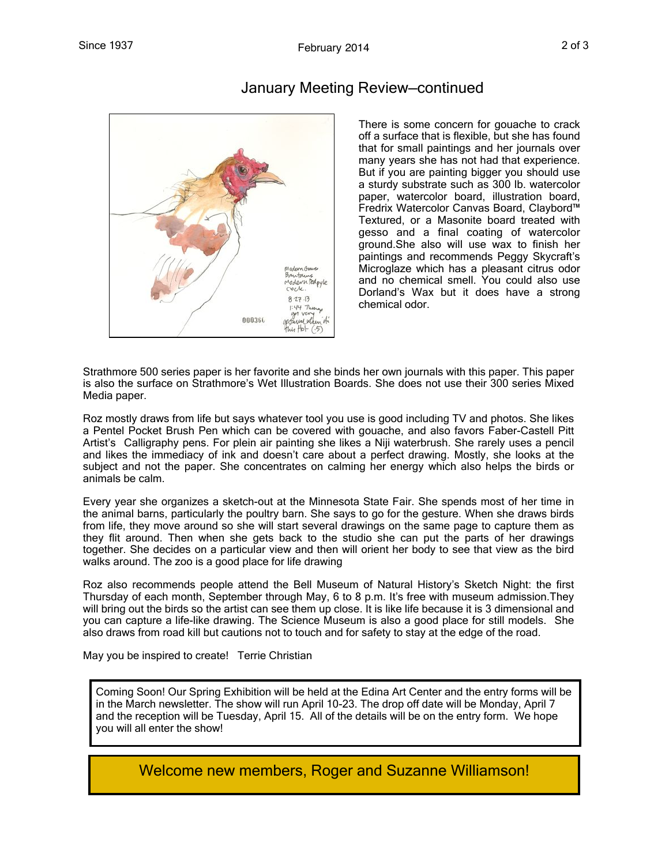

## January Meeting Review—continued

There is some concern for gouache to crack off a surface that is flexible, but she has found that for small paintings and her journals over many years she has not had that experience. But if you are painting bigger you should use a sturdy substrate such as 300 lb. watercolor paper, watercolor board, illustration board, Fredrix Watercolor Canvas Board, Claybord™ Textured, or a Masonite board treated with gesso and a final coating of watercolor ground.She also will use wax to finish her paintings and recommends Peggy Skycraft's Microglaze which has a pleasant citrus odor and no chemical smell. You could also use Dorland's Wax but it does have a strong chemical odor.

Strathmore 500 series paper is her favorite and she binds her own journals with this paper. This paper is also the surface on Strathmore's Wet Illustration Boards. She does not use their 300 series Mixed Media paper.

Roz mostly draws from life but says whatever tool you use is good including TV and photos. She likes a Pentel Pocket Brush Pen which can be covered with gouache, and also favors Faber-Castell Pitt Artist's Calligraphy pens. For plein air painting she likes a Niji waterbrush. She rarely uses a pencil and likes the immediacy of ink and doesn't care about a perfect drawing. Mostly, she looks at the subject and not the paper. She concentrates on calming her energy which also helps the birds or animals be calm.

Every year she organizes a sketch-out at the Minnesota State Fair. She spends most of her time in the animal barns, particularly the poultry barn. She says to go for the gesture. When she draws birds from life, they move around so she will start several drawings on the same page to capture them as they flit around. Then when she gets back to the studio she can put the parts of her drawings together. She decides on a particular view and then will orient her body to see that view as the bird walks around. The zoo is a good place for life drawing

Roz also recommends people attend the Bell Museum of Natural History's Sketch Night: the first Thursday of each month, September through May, 6 to 8 p.m. It's free with museum admission.They will bring out the birds so the artist can see them up close. It is like life because it is 3 dimensional and you can capture a life-like drawing. The Science Museum is also a good place for still models. She also draws from road kill but cautions not to touch and for safety to stay at the edge of the road.

May you be inspired to create! Terrie Christian

Coming Soon! Our Spring Exhibition will be held at the Edina Art Center and the entry forms will be in the March newsletter. The show will run April 10-23. The drop off date will be Monday, April 7 and the reception will be Tuesday, April 15. All of the details will be on the entry form. We hope you will all enter the show!

Welcome new members, Roger and Suzanne Williamson!